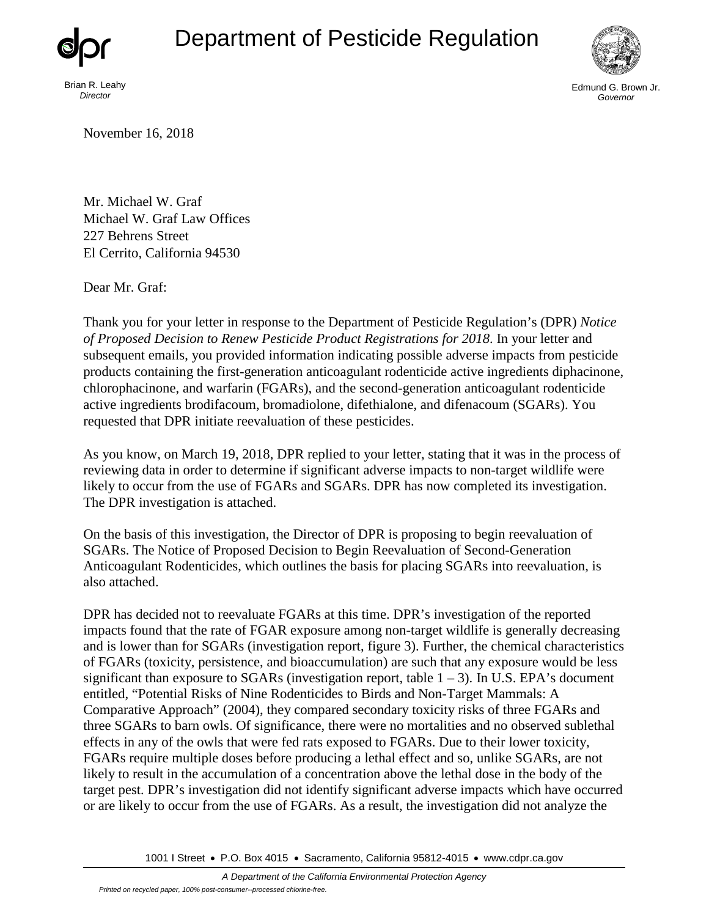## Department of Pesticide Regulation



Brian R. Leahy *Director*



Edmund G. Brown Jr. *Governor*

November 16, 2018

Mr. Michael W. Graf Michael W. Graf Law Offices 227 Behrens Street El Cerrito, California 94530

Dear Mr. Graf:

Thank you for your letter in response to the Department of Pesticide Regulation's (DPR) *Notice of Proposed Decision to Renew Pesticide Product Registrations for 2018*. In your letter and subsequent emails, you provided information indicating possible adverse impacts from pesticide products containing the first-generation anticoagulant rodenticide active ingredients diphacinone, chlorophacinone, and warfarin (FGARs), and the second-generation anticoagulant rodenticide active ingredients brodifacoum, bromadiolone, difethialone, and difenacoum (SGARs). You requested that DPR initiate reevaluation of these pesticides.

As you know, on March 19, 2018, DPR replied to your letter, stating that it was in the process of reviewing data in order to determine if significant adverse impacts to non-target wildlife were likely to occur from the use of FGARs and SGARs. DPR has now completed its investigation. The DPR investigation is attached.

On the basis of this investigation, the Director of DPR is proposing to begin reevaluation of SGARs. The Notice of Proposed Decision to Begin Reevaluation of Second-Generation Anticoagulant Rodenticides, which outlines the basis for placing SGARs into reevaluation, is also attached.

DPR has decided not to reevaluate FGARs at this time. DPR's investigation of the reported impacts found that the rate of FGAR exposure among non-target wildlife is generally decreasing and is lower than for SGARs (investigation report, figure 3). Further, the chemical characteristics of FGARs (toxicity, persistence, and bioaccumulation) are such that any exposure would be less significant than exposure to SGARs (investigation report, table  $1 - 3$ ). In U.S. EPA's document entitled, "Potential Risks of Nine Rodenticides to Birds and Non-Target Mammals: A Comparative Approach" (2004), they compared secondary toxicity risks of three FGARs and three SGARs to barn owls. Of significance, there were no mortalities and no observed sublethal effects in any of the owls that were fed rats exposed to FGARs. Due to their lower toxicity, FGARs require multiple doses before producing a lethal effect and so, unlike SGARs, are not likely to result in the accumulation of a concentration above the lethal dose in the body of the target pest. DPR's investigation did not identify significant adverse impacts which have occurred or are likely to occur from the use of FGARs. As a result, the investigation did not analyze the

1001 I Street • P.O. Box 4015 • Sacramento, California 95812-4015 • [www.cdpr.ca.gov](http://www.cdpr.ca.gov/)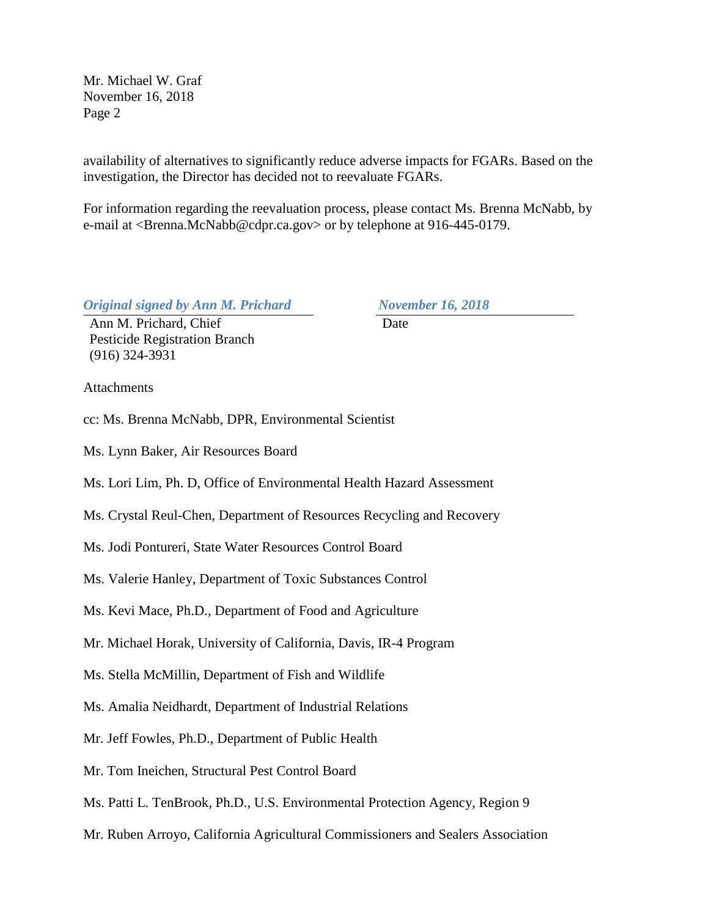Mr. Michael W. Graf November 16, 2018 Page 2

availability of alternatives to significantly reduce adverse impacts for FGARs. Based on the investigation, the Director has decided not to reevaluate FGARs.

For information regarding the reevaluation process, please contact Ms. Brenna McNabb, by e-mail at <Brenna.McNabb@cdpr.ca.gov> or by telephone at 916-445-0179.

*Original signed by Ann M. Prichard November 16, 2018* 

Ann M. Prichard, Chief Date Pesticide Registration Branch (916) 324-3931

**Attachments** 

cc: Ms. Brenna McNabb, DPR, Environmental Scientist

Ms. Lynn Baker, Air Resources Board

Ms. Lori Lim, Ph. D, Office of Environmental Health Hazard Assessment

Ms. Crystal Reul-Chen, Department of Resources Recycling and Recovery

Ms. Jodi Pontureri, State Water Resources Control Board

Ms. Valerie Hanley, Department of Toxic Substances Control

Ms. Kevi Mace, Ph.D., Department of Food and Agriculture

Mr. Michael Horak, University of California, Davis, IR-4 Program

Ms. Stella McMillin, Department of Fish and Wildlife

Ms. Amalia Neidhardt, Department of Industrial Relations

Mr. Jeff Fowles, Ph.D., Department of Public Health

Mr. Tom Ineichen, Structural Pest Control Board

Ms. Patti L. TenBrook, Ph.D., U.S. Environmental Protection Agency, Region 9

Mr. Ruben Arroyo, California Agricultural Commissioners and Sealers Association